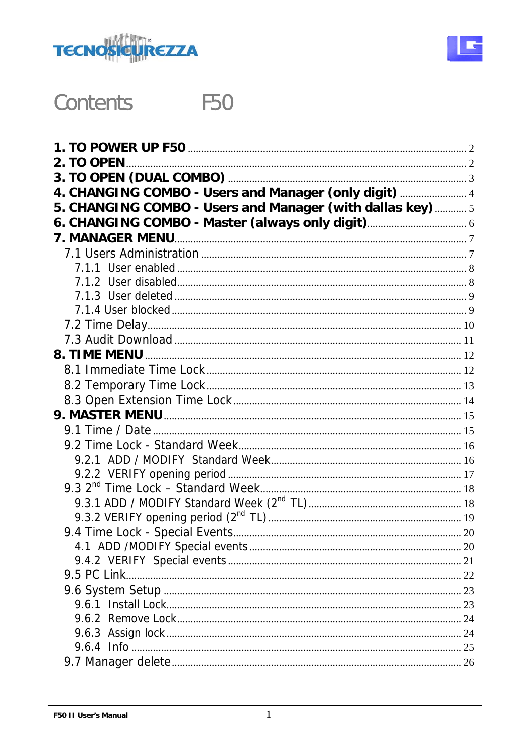



#### **Contents F50**

| 2. TO OPEN                                                 |  |
|------------------------------------------------------------|--|
|                                                            |  |
| 4. CHANGING COMBO - Users and Manager (only digit)  4      |  |
| 5. CHANGING COMBO - Users and Manager (with dallas key)  5 |  |
|                                                            |  |
| <b>7. MANAGER MENU.</b>                                    |  |
|                                                            |  |
|                                                            |  |
|                                                            |  |
|                                                            |  |
|                                                            |  |
|                                                            |  |
|                                                            |  |
|                                                            |  |
|                                                            |  |
|                                                            |  |
|                                                            |  |
|                                                            |  |
|                                                            |  |
|                                                            |  |
|                                                            |  |
|                                                            |  |
|                                                            |  |
|                                                            |  |
|                                                            |  |
|                                                            |  |
|                                                            |  |
|                                                            |  |
| 9.5 PC Link                                                |  |
|                                                            |  |
|                                                            |  |
|                                                            |  |
|                                                            |  |
|                                                            |  |
|                                                            |  |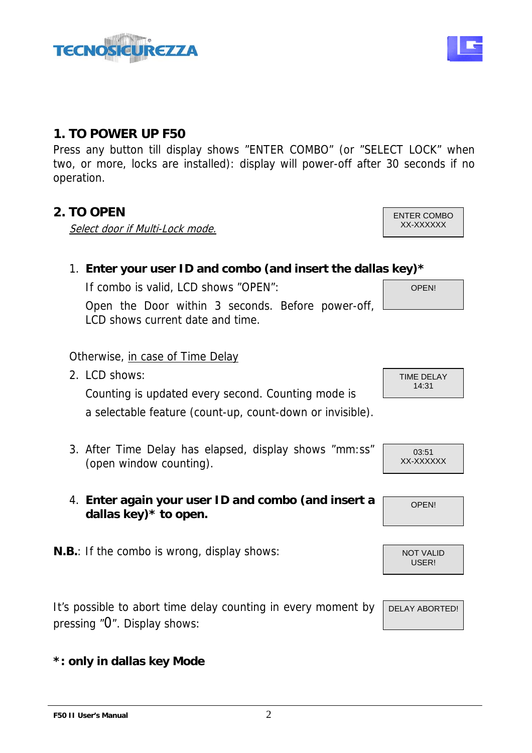

# **1. TO POWER UP F50**

Press any button till display shows "ENTER COMBO" (or "SELECT LOCK" when two, or more, locks are installed): display will power-off after 30 seconds if no operation.

# **2. TO OPEN** ENTER COMBO

Select door if Multi-Lock mode. The state of the state of the state of the state of the state of the state of the state of the state of the state of the state of the state of the state of the state of the state of the stat

OPEN! 1. **Enter your user ID and combo (and insert the dallas key)\***  If combo is valid, LCD shows "OPEN": Open the Door within 3 seconds. Before power-off, LCD shows current date and time.

Otherwise, in case of Time Delay 2. LCD shows:

Counting is updated every second. Counting mode is a selectable feature (count-up, count-down or invisible).

- 3. After Time Delay has elapsed, display shows "mm:ss" (open window counting).
- 4. **Enter again your user ID and combo (and insert a dallas key)\* to open.**
- **N.B.**: If the combo is wrong, display shows:

It's possible to abort time delay counting in every moment by pressing "0". Display shows:

### **\*: only in dallas key Mode**

TIME DELAY 14:31

03:51 XX-XXXXXX



USER!



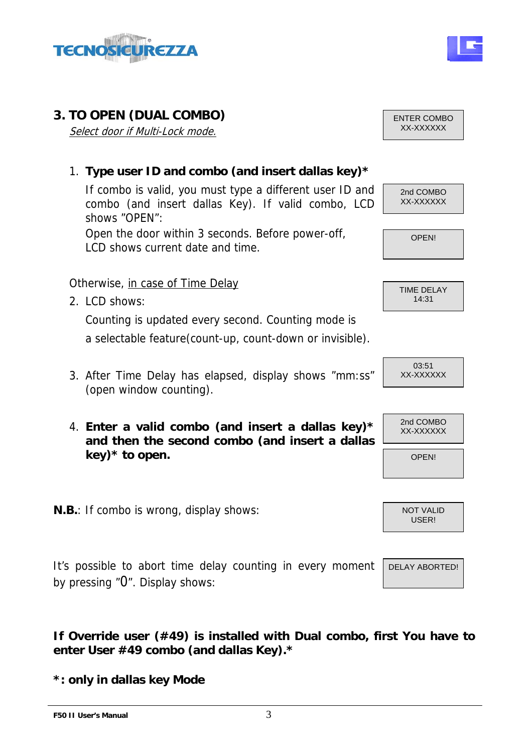

# **3. TO OPEN (DUAL COMBO) ENTER COMBO**

Select door if Multi-Lock mode. The select of the state of the state of the state of the state of the state of the state of the state of the state of the state of the state of the state of the state of the state of the sta

### 1. **Type user ID and combo (and insert dallas key)\***

If combo is valid, you must type a different user ID and combo (and insert dallas Key). If valid combo, LCD shows "OPEN":

Open the door within 3 seconds. Before power-off, LCD shows current date and time.

#### Otherwise, in case of Time Delay

2. LCD shows:

Counting is updated every second. Counting mode is a selectable feature(count-up, count-down or invisible).

- 3. After Time Delay has elapsed, display shows "mm:ss" (open window counting).
- 4. **Enter a valid combo (and insert a dallas key)\***  $\begin{bmatrix} 2nd & COMBO \\ XX-XXXXXX \end{bmatrix}$ **and then the second combo (and insert a dallas key)\* to open.**
- **N.B.**: If combo is wrong, display shows:

It's possible to abort time delay counting in every moment by pressing "0". Display shows:

**If Override user (#49) is installed with Dual combo, first You have to enter User #49 combo (and dallas Key).\*** 

**\*: only in dallas key Mode**



OPEN!

| 14:31 |
|-------|
|-------|







DELAY ABORTED!

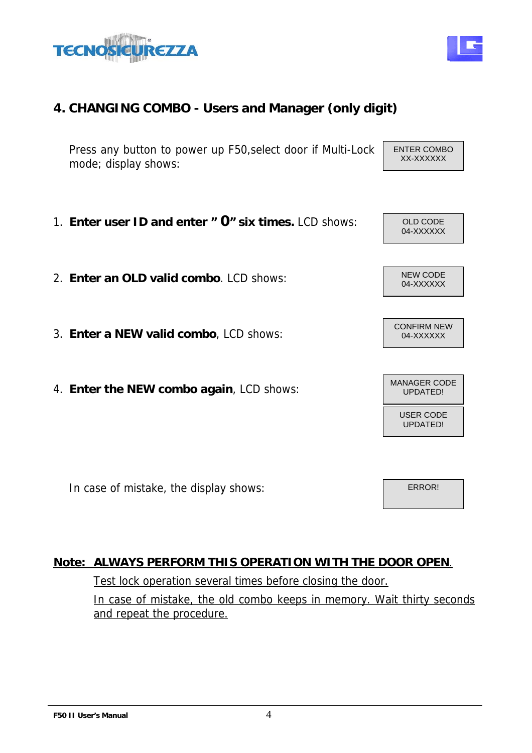# **4. CHANGING COMBO - Users and Manager (only digit)**

Press any button to power up F50,select door if Multi-Lock mode; display shows:

- 1. **Enter user ID and enter " O" six times.** LCD shows:  $\vert$  old code
- 2. **Enter an OLD valid combo**. LCD shows:  $\begin{bmatrix} \text{NEW CODE} \\ 04-XXXXXX \end{bmatrix}$
- 3. **Enter a NEW valid combo**, LCD shows:
- 4. **Enter the NEW combo again**, LCD shows: MANAGER CODE MANAGER CODE

In case of mistake, the display shows:

### **Note: ALWAYS PERFORM THIS OPERATION WITH THE DOOR OPEN**.

#### Test lock operation several times before closing the door.

In case of mistake, the old combo keeps in memory. Wait thirty seconds and repeat the procedure.



ENTER COMBO



NEW CODE

CONFIRM NEW

USER CODE UPDATED!

ERROR!

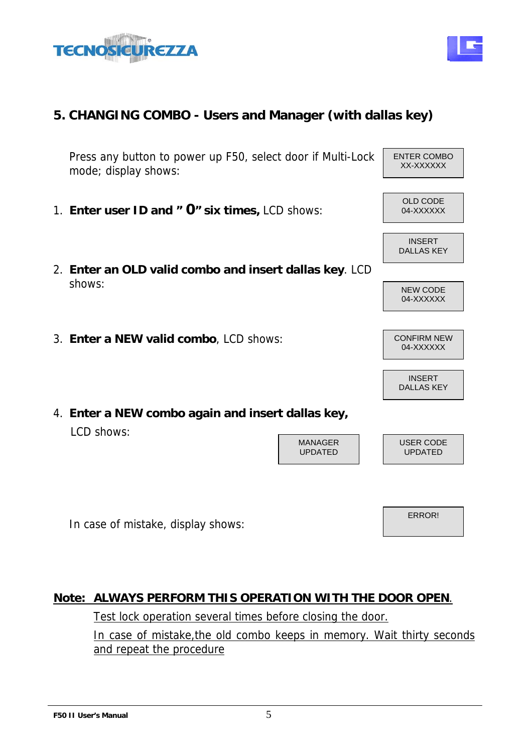



# **5. CHANGING COMBO - Users and Manager (with dallas key)**

Press any button to power up F50, select door if Multi-Lock mode; display shows:

- 1. **Enter user ID and " O" six times, LCD shows:** 04-XXXXXX
- 2. **Enter an OLD valid combo and insert dallas key**. LCD shows: New CODE
- 3. **Enter a NEW valid combo**, LCD shows: CONFIRM NEW
- 4. **Enter a NEW combo again and insert dallas key,** LCD shows:

In case of mistake, display shows:

#### **Note: ALWAYS PERFORM THIS OPERATION WITH THE DOOR OPEN**.

Test lock operation several times before closing the door.

In case of mistake,the old combo keeps in memory. Wait thirty seconds and repeat the procedure

MANAGER UPDATED

# XX-XXXXXX

ENTER COMBO









INSERT DALLAS KEY

USER CODE UPDATED

ERROR!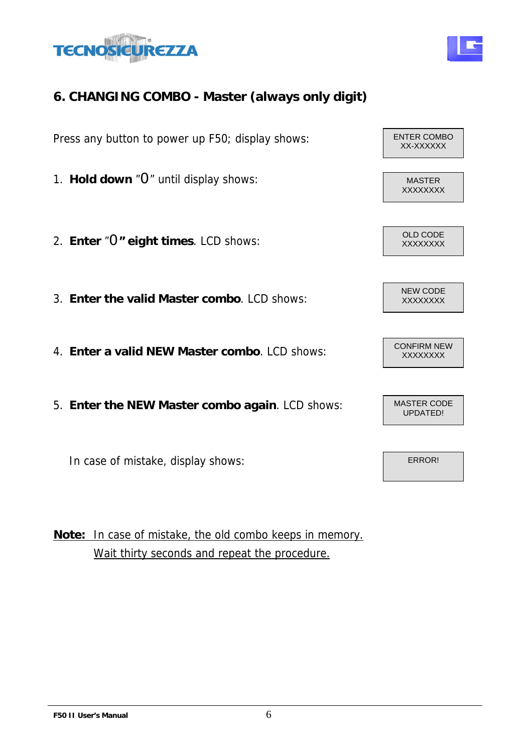



Press any button to power up F50; display shows: ENTER COMBO

- 1. **Hold down** "O" until display shows: MASTER
- 2. **Enter "O" eight times**. LCD shows:  $\begin{array}{c|c} \big| & \text{OLD CODE} \\ \hline \text{XXXXXXX} & \text{XXXXXXXX} \end{array}$
- 3. **Enter the valid Master combo**. LCD shows: XXXXXXXX
- 4. **Enter a valid NEW Master combo**. LCD shows: CONFIRM NEW
- 5. **Enter the NEW Master combo again**. LCD shows:

In case of mistake, display shows:

**Note:** In case of mistake, the old combo keeps in memory. Wait thirty seconds and repeat the procedure.

XX-XXXXXX XXXXXXXX NEW CODE

> MASTER CODE UPDATED!

> > ERROR!

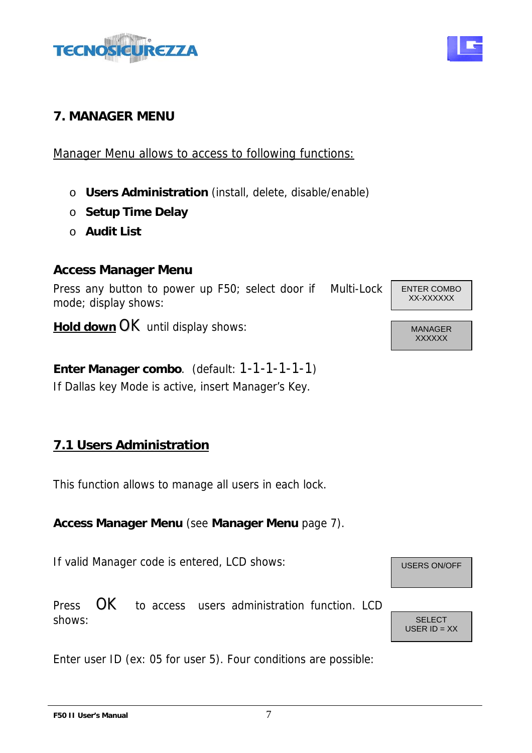

# **7. MANAGER MENU**

Manager Menu allows to access to following functions:

- o **Users Administration** (install, delete, disable/enable)
- o **Setup Time Delay**
- o **Audit List**

#### **Access Manager Menu**

Press any button to power up F50; select door if Multi-Lock mode; display shows:

**Hold down OK** until display shows: MANAGER

**Enter Manager combo**. (default: 1-1-1-1-1-1) If Dallas key Mode is active, insert Manager's Key.

# **7.1 Users Administration**

This function allows to manage all users in each lock.

#### **Access Manager Menu** (see **Manager Menu** page 7).

If valid Manager code is entered, LCD shows: USERS ON/OFF

Press  $\overline{OK}$  to access users administration function. LCD shows: Shows: Shows: Shows: Shows: SELECT

Enter user ID (ex: 05 for user 5). Four conditions are possible:



ENTER COMBO XX-XXXXXX

**XXXXXX** 





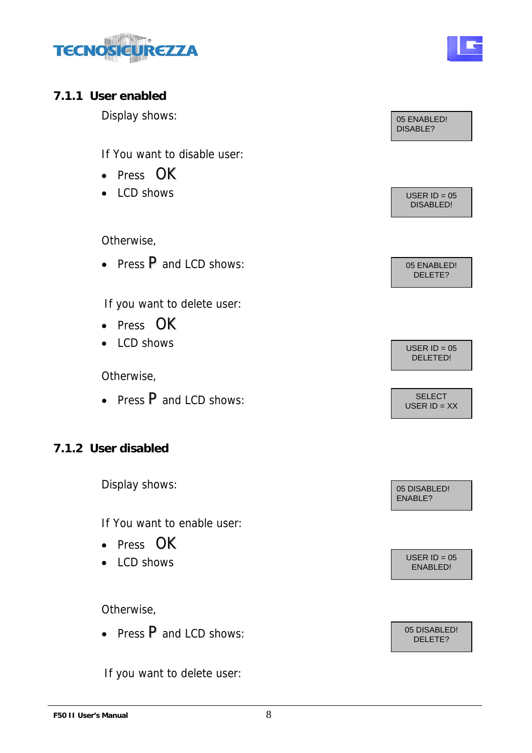



#### **7.1.1 User enabled**

If You want to disable user:

- Press OK
- 

Otherwise,

• Press P and LCD shows: 05 ENABLED!

If you want to delete user:

- Press OK
- 

Otherwise,

• Press  $P$  and LCD shows:  $\begin{array}{ccc} \hline \text{SELECT} \end{array}$ 

# **7.1.2 User disabled**

Display shows: 05 DISABLED!

If You want to enable user:

- Press OK
- $\bullet$  LCD shows

Otherwise,

• Press  $\overline{P}$  and LCD shows: 05 DISABLED!

If you want to delete user:



USER ID = XX

ENABLE?

USER ID = 05<br>ENABLED!

DELETE?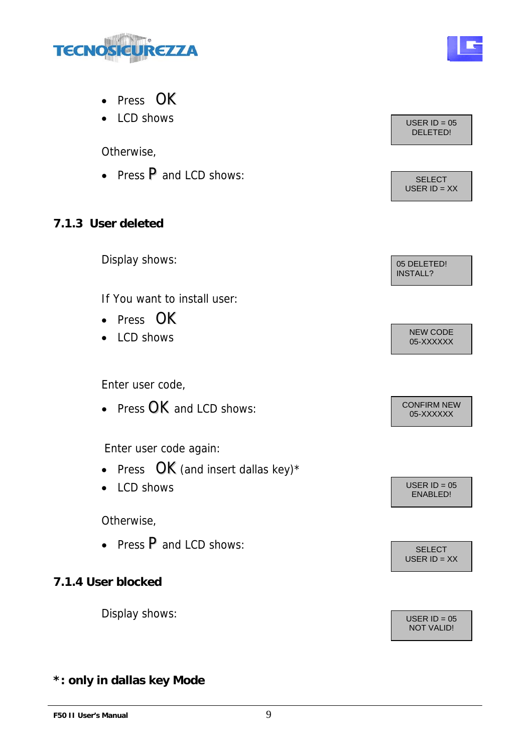

- Press OK
- LCD shows USER ID = 05

Otherwise,

• Press P and LCD shows: SELECT

### **7.1.3 User deleted**

Display shows: 05 DELETED!

If You want to install user:

- Press OK
- LCD shows

Enter user code,

• Press  $OK$  and LCD shows:

Enter user code again:

- Press  $OK$  (and insert dallas key)\*
- $LCD shows$  USER ID = 05

Otherwise,

• Press P and LCD shows: SELECT

**7.1.4 User blocked** 

Display shows:  $\sqrt{USER} = 05$ 

# DELETED!

USER ID = XX

INSTALL?

NEW CODE<br>05-XXXXXX

05-XXXXXX

ENABLED!

USER  $ID = XX$ 

NOT VALID!

## **\*: only in dallas key Mode**

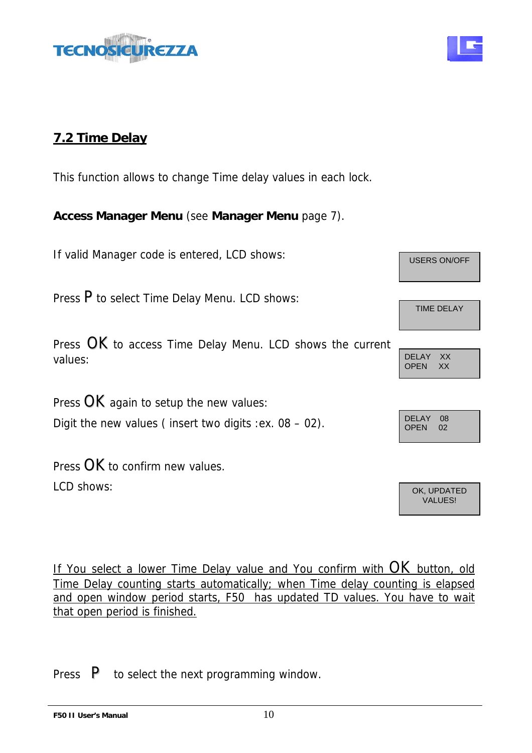



# **7.2 Time Delay**

This function allows to change Time delay values in each lock.

**Access Manager Menu** (see **Manager Menu** page 7).

If valid Manager code is entered, LCD shows: USERS ON/OFF

Press P to select Time Delay Menu. LCD shows:

Press OK to access Time Delay Menu. LCD shows the current values: DELAY XX

Press  $OK$  again to setup the new values: Digit the new values ( insert two digits :ex.  $08 - 02$ ).

Press OK to confirm new values. LCD shows: OK, UPDATED

If You select a lower Time Delay value and You confirm with OK button, old Time Delay counting starts automatically; when Time delay counting is elapsed and open window period starts, F50 has updated TD values. You have to wait that open period is finished.

Press  $\mathsf{P}$  to select the next programming window.

TIME DELAY

OPEN XX

| DELAY 08<br>OPEN | 02 |  |
|------------------|----|--|
|                  |    |  |

VALUES!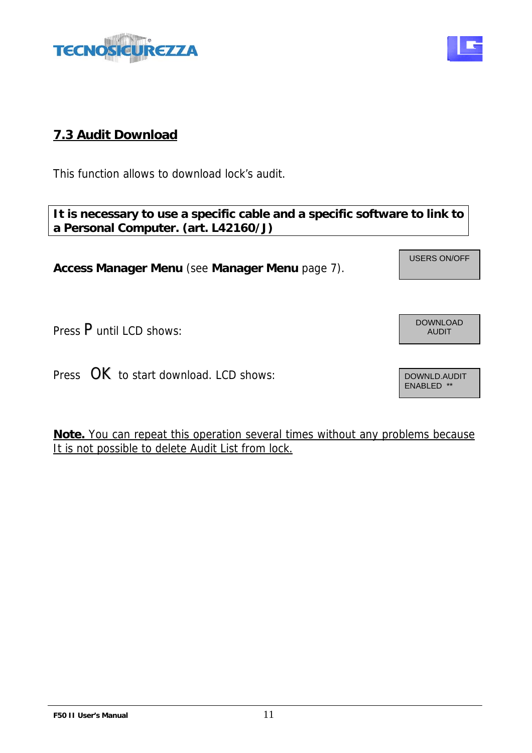# **7.3 Audit Download**

**TECN** 

This function allows to download lock's audit.

# **It is necessary to use a specific cable and a specific software to link to a Personal Computer. (art. L42160/J)**

**Access Manager Menu** (see **Manager Menu** page 7).

İ,

Press P until LCD shows:

Press OK to start download. LCD shows:

**Note.** You can repeat this operation several times without any problems because It is not possible to delete Audit List from lock.



ENABLED \*\*

DOWNLOAD

USERS ON/OFF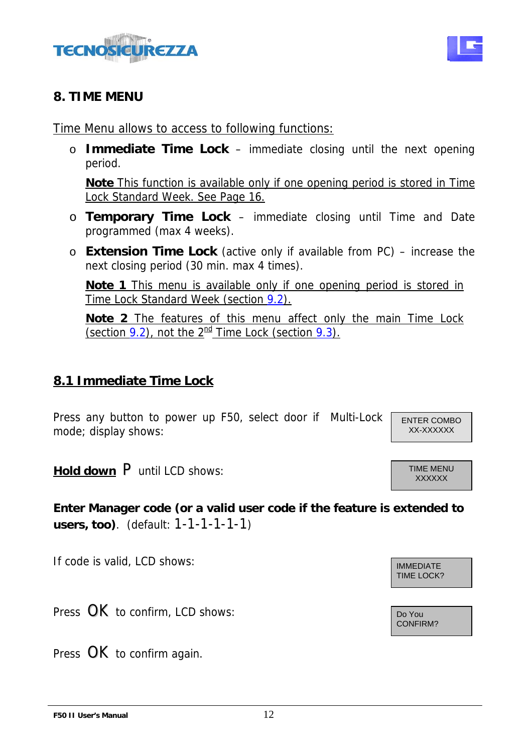



#### **8. TIME MENU**

Time Menu allows to access to following functions:

o **Immediate Time Lock** – immediate closing until the next opening period.

**Note** This function is available only if one opening period is stored in Time Lock Standard Week. See Page 16.

- o **Temporary Time Lock**  immediate closing until Time and Date programmed (max 4 weeks).
- o **Extension Time Lock** (active only if available from PC) increase the next closing period (30 min. max 4 times).

**Note 1** This menu is available only if one opening period is stored in Time Lock Standard Week (section 9.2).

**Note 2** The features of this menu affect only the main Time Lock (section 9.2), not the  $2^{\text{nd}}$  Time Lock (section 9.3).

# **8.1 Immediate Time Lock**

Press any button to power up F50, select door if Multi-Lock mode; display shows:

ENTER COMBO XX-XXXXXX

**XXXXXX** 

**Hold down P** until LCD shows: TIME MENU

**Enter Manager code (or a valid user code if the feature is extended to users, too)**. (default: 1-1-1-1-1-1)

If code is valid, LCD shows:  $\sqrt{\frac{1}{\text{MMPD}} + \frac{1}{\text{MMPD}} + \frac{1}{\text{MMPD}} + \frac{1}{\text{MMPD}} + \frac{1}{\text{MMPD}} + \frac{1}{\text{MMPD}} + \frac{1}{\text{MMPD}} + \frac{1}{\text{MMPD}} + \frac{1}{\text{MMPD}} + \frac{1}{\text{MMPD}} + \frac{1}{\text{MMPD}} + \frac{1}{\text{MMPD}} + \frac{1}{\text{MMPD}} + \frac{1}{\text{MMPD}} + \frac{1}{\text$ 

Press  $OK$  to confirm, LCD shows:

Press OK to confirm again.

TIME LOCK?

CONFIRM?

**F50 II User's Manual** 12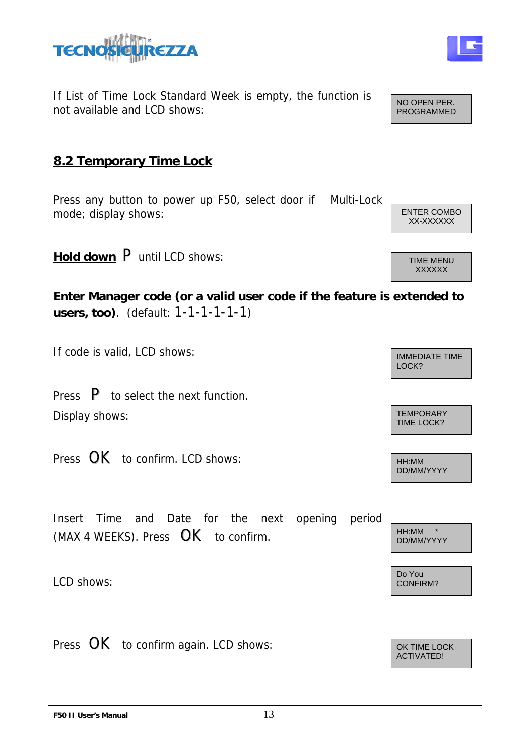



If List of Time Lock Standard Week is empty, the function is not available and LCD shows:

### **8.2 Temporary Time Lock**

Press any button to power up F50, select door if Multi-Lock mode; display shows: ENTER COMBO

**Hold down P** until LCD shows: THE MENU

**Enter Manager code (or a valid user code if the feature is extended to users, too)**. (default: 1-1-1-1-1-1)

If code is valid, LCD shows:  $\sqrt{\frac{1}{2}}$ 

Press P to select the next function. Display shows: TEMPORARY TEMPORARY

Press  $OK$  to confirm. LCD shows:

Insert Time and Date for the next opening period (MAX 4 WEEKS). Press  $OK$  to confirm.

LCD shows:

Press  $OK$  to confirm again. LCD shows:



HH:MM \* DD/MM/YYYY

Do You<br>CONFIRM?

ACTIVATED!

XX-XXXXXX

NO OPEN PER. PROGRAMMED

LOCK?

TIME LOCK?

DD/MM/YYYY

**XXXXXX**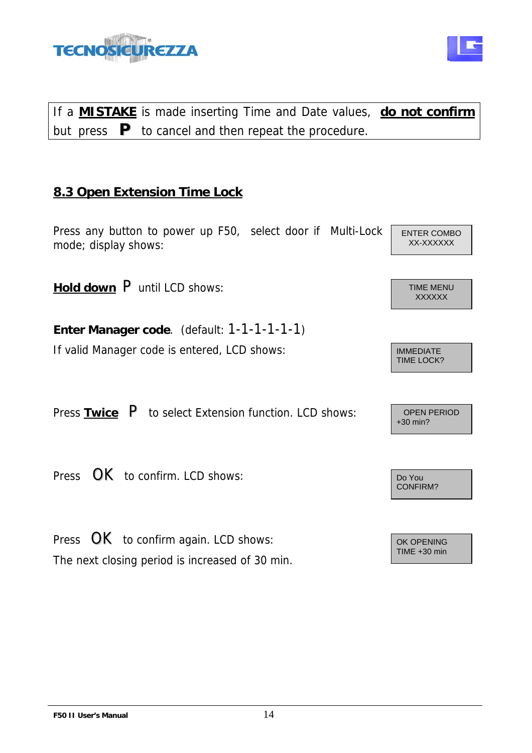

# If a **MISTAKE** is made inserting Time and Date values, **do not confirm** but press **P** to cancel and then repeat the procedure.

# **8.3 Open Extension Time Lock**

Press any button to power up F50, select door if Multi-Lock mode; display shows:

**Hold down P** until LCD shows: TIME MENU

**Enter Manager code**. (default: 1-1-1-1-1-1)

If valid Manager code is entered, LCD shows: IMMEDIATE

Press **Twice** P to select Extension function. LCD shows: OPEN PERIOD

Press  $\overline{\text{OK}}$  to confirm. LCD shows:

Press  $OK$  to confirm again. LCD shows: The next closing period is increased of 30 min.

ENTER COMBO XX-XXXXXX

**XXXXXX** 

TIME LOCK?

+30 min?

CONFIRM?

TIME +30 min

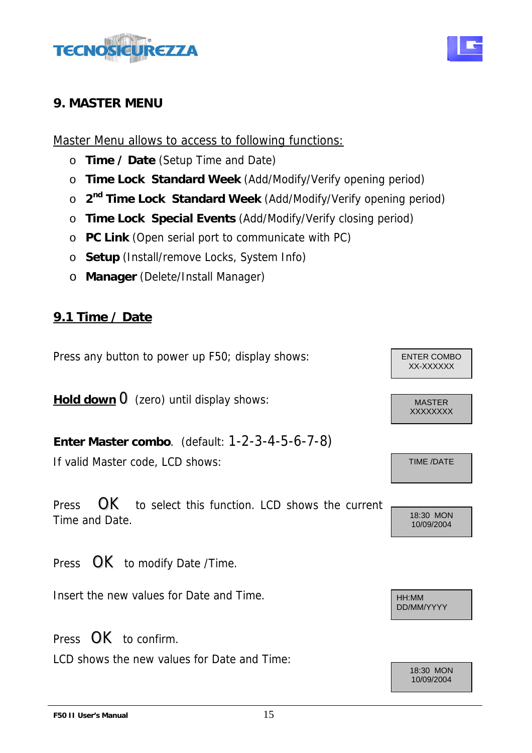

#### **9. MASTER MENU**

Master Menu allows to access to following functions:

- o **Time / Date** (Setup Time and Date)
- o **Time Lock Standard Week** (Add/Modify/Verify opening period)
- o **2nd Time Lock Standard Week** (Add/Modify/Verify opening period)
- o **Time Lock Special Events** (Add/Modify/Verify closing period)
- o **PC Link** (Open serial port to communicate with PC)
- o **Setup** (Install/remove Locks, System Info)
- o **Manager** (Delete/Install Manager)

# **9.1 Time / Date**

Press any button to power up F50; display shows: Fig. 2. ENTER COMBO

**Hold down**  $\overline{O}$  (zero) until display shows: MASTER

**Enter Master combo**. (default: 1-2-3-4-5-6-7-8) If valid Master code, LCD shows: TIME /DATE

Press  $\overrightarrow{OK}$  to select this function. LCD shows the current Time and Date. 18:30 MON

Press  $OK$  to modify Date /Time.

Insert the new values for Date and Time.

Press  $\mathbf{OK}$  to confirm.

LCD shows the new values for Date and Time:

XX-XXXXXX

XXXXXXXX

10/09/2004

DD/MM/YYYY

18:30 MON 10/09/2004

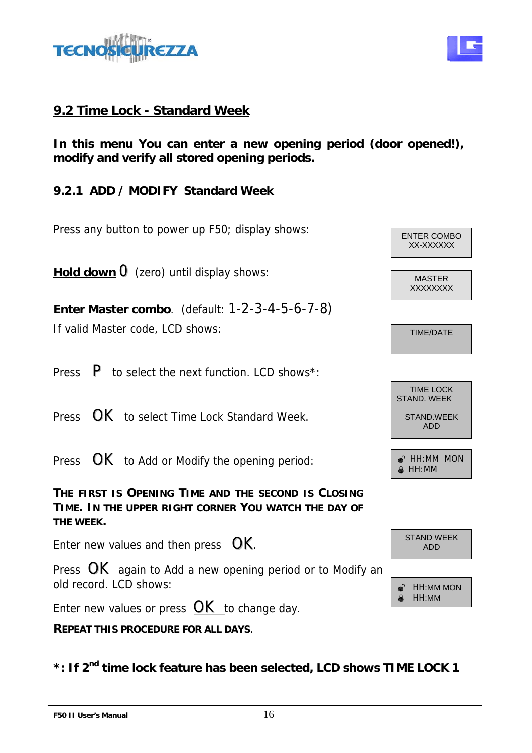

## **9.2 Time Lock - Standard Week**

**In this menu You can enter a new opening period (door opened!), modify and verify all stored opening periods.** 

**9.2.1 ADD / MODIFY Standard Week** 

Press any button to power up F50; display shows:  $\sqrt{\frac{1}{2} \cdot \frac{1}{2} \cdot \frac{1}{2} \cdot \frac{1}{2} \cdot \frac{1}{2} \cdot \frac{1}{2} \cdot \frac{1}{2} \cdot \frac{1}{2} \cdot \frac{1}{2} \cdot \frac{1}{2} \cdot \frac{1}{2} \cdot \frac{1}{2} \cdot \frac{1}{2} \cdot \frac{1}{2} \cdot \frac{1}{2} \cdot \frac{1}{2} \cdot \frac{1}{2} \cdot \frac{1}{2} \cdot \frac{1}{2}$ 

**Hold down**  $\overline{O}$  (zero) until display shows:

**Enter Master combo**. (default: 1-2-3-4-5-6-7-8) If valid Master code, LCD shows: TIME/DATE

Press  $\mathsf{P}$  to select the next function. LCD shows\*:

Press  $\overline{OK}$  to select Time Lock Standard Week.  $\overline{S}$  STAND.WEEK

Press  $OK$  to Add or Modify the opening period:  $\mathbb{R}$  HH:MM MON

XX-XXXXXX **XXXXXXX** TIME LOCK

STAND. WEEK ADD

 $\bullet$  HH:MM

ADD



**THE FIRST IS OPENING TIME AND THE SECOND IS CLOSING TIME. IN THE UPPER RIGHT CORNER YOU WATCH THE DAY OF THE WEEK.** 

Enter new values and then press  $OK$ .

Press  $OK$  again to Add a new opening period or to Modify an old record. LCD shows:  $\sqrt{\epsilon}$  HH:MM MON

Enter new values or press  $OK$  to change day.

**REPEAT THIS PROCEDURE FOR ALL DAYS**.

**\*: If 2nd time lock feature has been selected, LCD shows TIME LOCK 1**

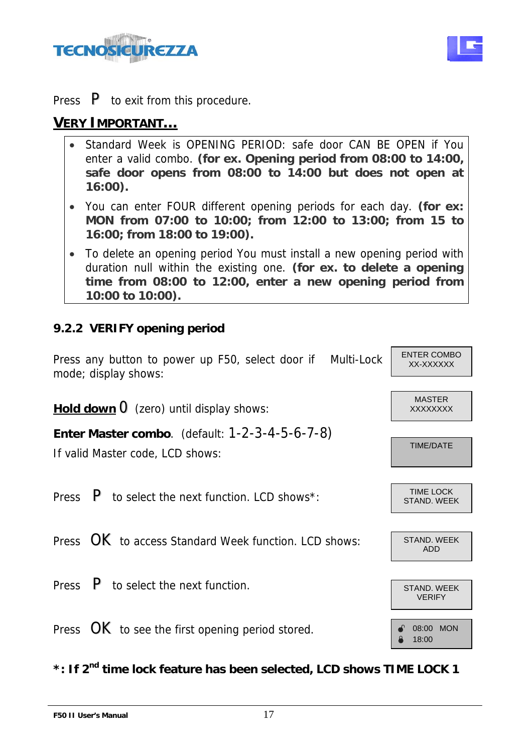



Press  $\mathsf{P}$  to exit from this procedure.

## **VERY IMPORTANT…**

- Standard Week is OPENING PERIOD: safe door CAN BE OPEN if You enter a valid combo. **(for ex. Opening period from 08:00 to 14:00, safe door opens from 08:00 to 14:00 but does not open at 16:00).**
- You can enter FOUR different opening periods for each day. **(for ex: MON from 07:00 to 10:00; from 12:00 to 13:00; from 15 to 16:00; from 18:00 to 19:00).**
- To delete an opening period You must install a new opening period with duration null within the existing one. **(for ex. to delete a opening time from 08:00 to 12:00, enter a new opening period from 10:00 to 10:00).**

#### **9.2.2 VERIFY opening period**

Press any button to power up F50, select door if Multi-Lock  $\left| \right|$  enter comb mode; display shows:

**Hold down** 0(zero) until display shows: XXXXXXXX

**Enter Master combo**. (default: 1-2-3-4-5-6-7-8)

If valid Master code, LCD shows:

Press  $\mathsf{P}$  to select the next function. LCD shows<sup>\*</sup>:

Press  $\overline{OK}$  to access Standard Week function. LCD shows: STAND. WEEK

Press  $\overline{P}$  to select the next function.

Press  $OK$  to see the first opening period stored.  $\int_{\mathbb{R}}$  08:00 MON

**\*: If 2nd time lock feature has been selected, LCD shows TIME LOCK 1**

**F50 II User's Manual** 17

MASTER

ENTER COMBO

TIME/DATE

TIME LOCK STAND. WEEK





± 18:00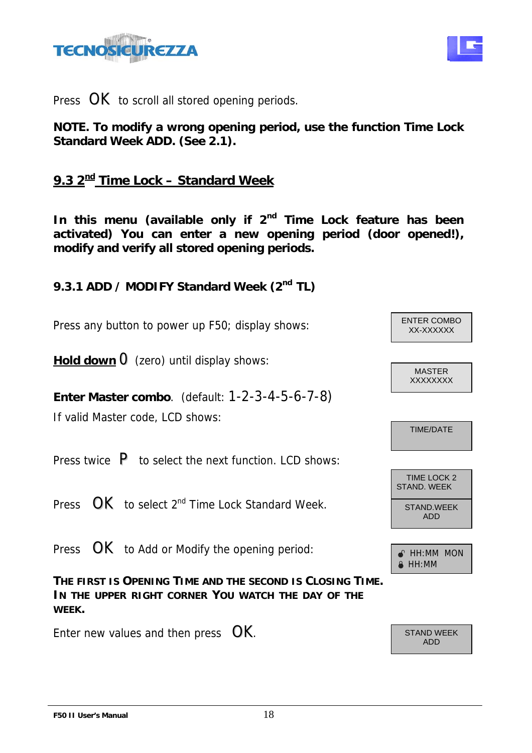



Press  $OK$  to scroll all stored opening periods.

**NOTE. To modify a wrong opening period, use the function Time Lock Standard Week ADD. (See 2.1).** 

# **9.3 2nd Time Lock – Standard Week**

In this menu (available only if 2<sup>nd</sup> Time Lock feature has been **activated) You can enter a new opening period (door opened!), modify and verify all stored opening periods.** 

9.3.1 ADD / MODIFY Standard Week (2<sup>nd</sup> TL)

Press any button to power up F50; display shows:  $\begin{bmatrix} \text{ENIER COMB} \\ \text{XX-XXXXX} \end{bmatrix}$ 

**Hold down**  $\theta$  (zero) until display shows:

**Enter Master combo**. (default: 1-2-3-4-5-6-7-8) If valid Master code, LCD shows:

Press twice  $\,$  P to select the next function. LCD shows:

Press  $\overline{OK}$  to select  $2^{nd}$  Time Lock Standard Week.

Press  $OK$  to Add or Modify the opening period:  $\sqrt{a + H \cdot MM}$  MON

**THE FIRST IS OPENING TIME AND THE SECOND IS CLOSING TIME. IN THE UPPER RIGHT CORNER YOU WATCH THE DAY OF THE WEEK.** 

Enter new values and then press  $OK$ .

ENTER COMBO

MASTER **XXXXXXX** 

TIME/DATE



 $\triangle$  HH:MM

ADD

**F50 II User's Manual** 18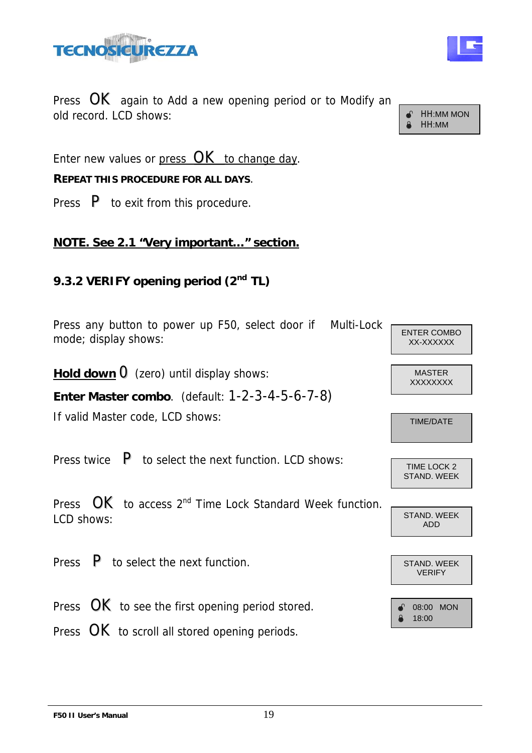

Press **OK** again to Add a new opening period or to Modify an old record. LCD shows:  $\begin{array}{|c|c|c|c|c|}\n\hline\n\text{a} & \text{HH:MM MON} \\
\text{a} & \text{HH:MM} \\
\end{array}$ 

Enter new values or press  $OK$  to change day.

#### **REPEAT THIS PROCEDURE FOR ALL DAYS**.

Press  $\mathsf{P}$  to exit from this procedure.

### **NOTE. See 2.1 "Very important…" section.**

### **9.3.2 VERIFY opening period (2nd TL)**

Press any button to power up F50, select door if Multi-Lock mode; display shows:

**Hold down**  $\overline{O}$  (zero) until display shows: MASTER

**Enter Master combo**. (default: 1-2-3-4-5-6-7-8)

If valid Master code, LCD shows: TIME/DATE

Press twice  $\begin{array}{|l|l|} \hline \text{P} & \text{to select the next function. LCD shows:} \hline & \text{Time Lock 2} \hline \end{array}$ 

Press **OK** to access 2<sup>nd</sup> Time Lock Standard Week function. LCD shows: STAND. WEEK

Press  $\overline{P}$  to select the next function.

Press  $OK$  to see the first opening period stored.

Press  $OK$  to scroll all stored opening periods.

HH:MM

ENTER COMBO XX-XXXXXX

**XXXXXXX** 

STAND. WEEK

ADD

VERIFY



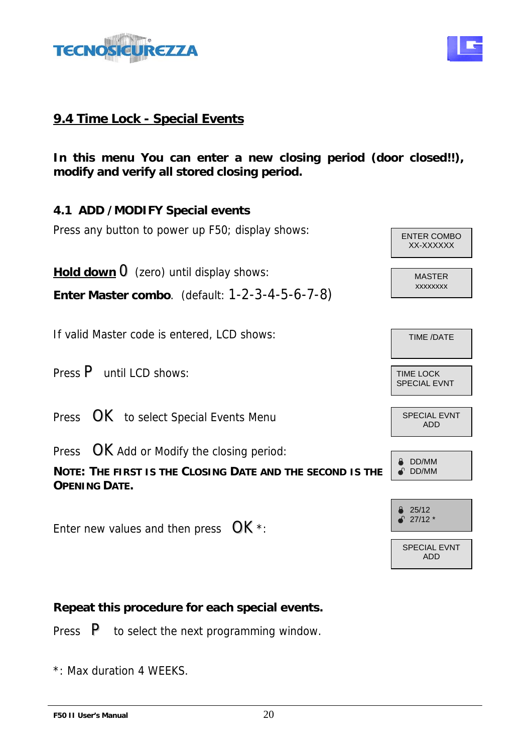



**In this menu You can enter a new closing period (door closed!!), modify and verify all stored closing period.** 

**4.1 ADD /MODIFY Special events**  Press any button to power up F50; display shows:  $\sqrt{\frac{ENTER\text{ COMBO}}{ENTER\text{ COMBO}}}$ XX-XXXXXX **Hold down**  $\overline{O}$  (zero) until display shows: MASTER xxxxxxxx **Enter Master combo**. (default: 1-2-3-4-5-6-7-8) If valid Master code is entered, LCD shows:  $\sqrt{ \frac{T_{\text{IME}}}{DATE}}$ Press P until LCD shows: SPECIAL EVNT Press  $OK$  to select Special Events Menu SPECIAL EVNT ADD Press  $OK$  Add or Modify the closing period: DD/MM **NOTE: THE FIRST IS THE CLOSING DATE AND THE SECOND IS THE** ² DD/MM **OPENING DATE.** ± 25/12  $\bullet$  27/12  $*$ Enter new values and then press  $OK$  \*: SPECIAL EVNT ADD

**Repeat this procedure for each special events.**

Press  $\mathsf{P}$  to select the next programming window.

\*: Max duration 4 WEEKS.

**F50 II User's Manual** 20

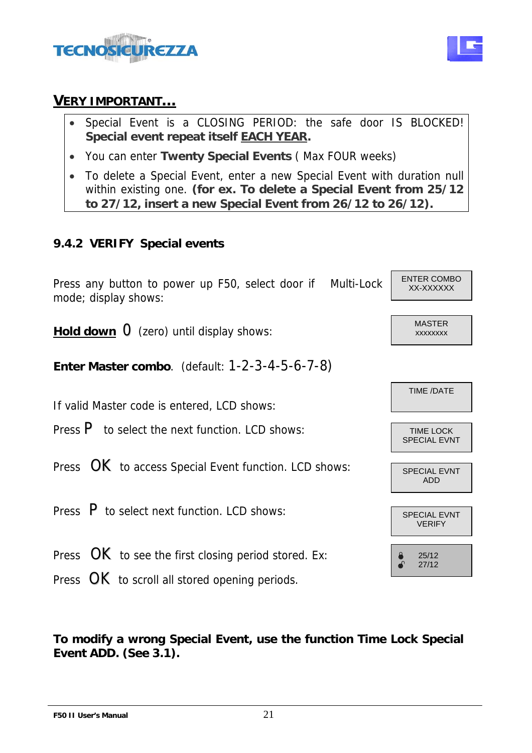

#### **VERY IMPORTANT…**

- Special Event is a CLOSING PERIOD: the safe door IS BLOCKED! **Special event repeat itself EACH YEAR.**
- You can enter **Twenty Special Events** ( Max FOUR weeks)
- To delete a Special Event, enter a new Special Event with duration null within existing one. **(for ex. To delete a Special Event from 25/12 to 27/12, insert a new Special Event from 26/12 to 26/12).**

#### **9.4.2 VERIFY Special events**



**To modify a wrong Special Event, use the function Time Lock Special Event ADD. (See 3.1).** 

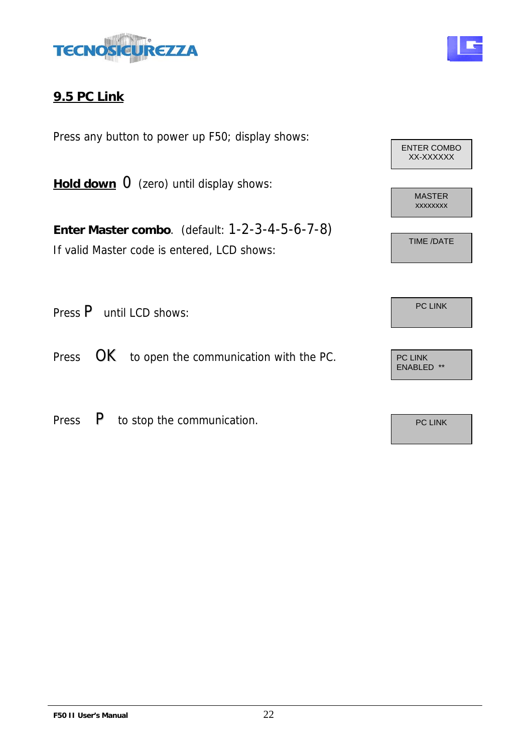



Press any button to power up F50; display shows:

**Hold down** 0(zero) until display shows:

**Enter Master combo**. (default: 1-2-3-4-5-6-7-8) If valid Master code is entered, LCD shows:

Press P until LCD shows: P and the political product of the pC LINK

Press  $OK$  to open the communication with the PC.

Press  $\overline{P}$  to stop the communication.



ENABLED \*\*

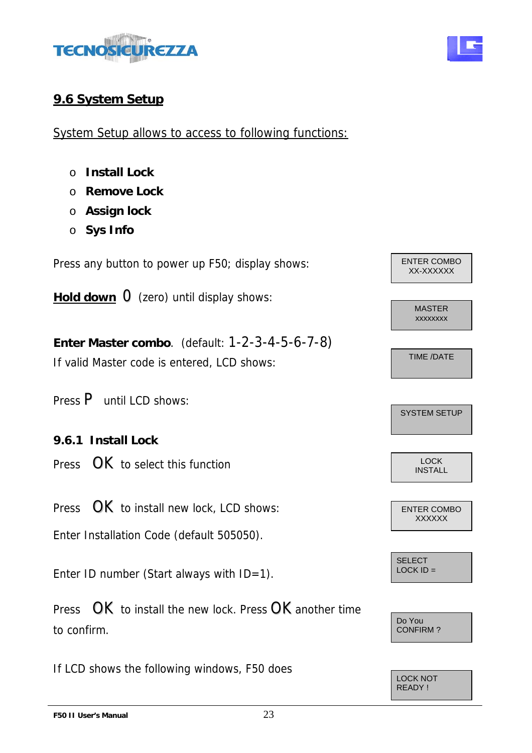

# **9.6 System Setup**

System Setup allows to access to following functions:

- o **Install Lock**
- o **Remove Lock**
- o **Assign lock**
- o **Sys Info**

Press any button to power up F50; display shows:

**Hold down** 0(zero) until display shows:

**Enter Master combo**. (default: 1-2-3-4-5-6-7-8) If valid Master code is entered, LCD shows:

- Press P until LCD shows:
- **9.6.1 Install Lock**
- Press **OK** to select this function

Press OK to install new lock, LCD shows:

Enter Installation Code (default 505050).

Enter ID number (Start always with  $ID=1$ ).

Press **OK** to install the new lock. Press **OK** another time to confirm.

If LCD shows the following windows, F50 does







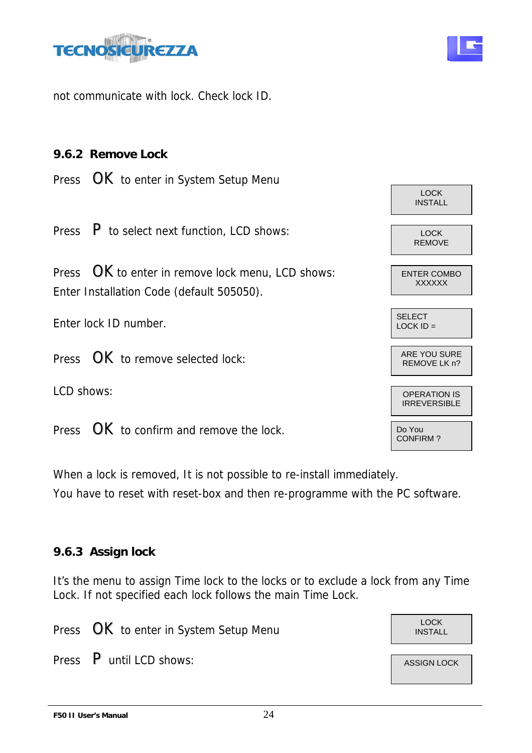

not communicate with lock. Check lock ID.

#### **9.6.2 Remove Lock**

Press **OK** to enter in System Setup Menu

Press  $\overline{P}$  to select next function, LCD shows:

Press  $OK$  to enter in remove lock menu, LCD shows: Enter Installation Code (default 505050).

Press  $\mathsf{OK}$  to remove selected lock:

Press  $OK$  to confirm and remove the lock.

When a lock is removed, It is not possible to re-install immediately. You have to reset with reset-box and then re-programme with the PC software.

#### **9.6.3 Assign lock**

It's the menu to assign Time lock to the locks or to exclude a lock from any Time Lock. If not specified each lock follows the main Time Lock.

Press **OK** to enter in System Setup Menu INSTALL

Press  $\overline{P}$  until LCD shows:  $\overline{P}$  assign lock



LOCK INSTALL



**F50 II User's Manual** 24



LOCK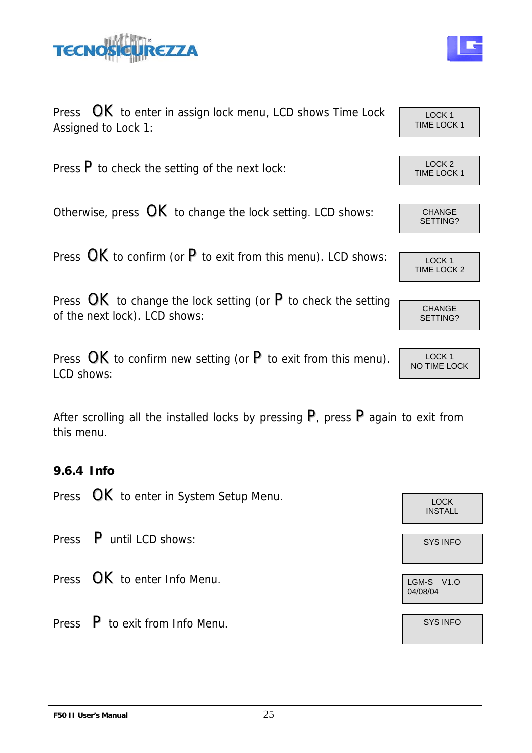

Assigned to Lock 1:



Press  $OK$  to enter in assign lock menu, LCD shows Time Lock  $\overline{C_{\text{LOCK 1}}^{LOCK 1}}$ Press  $\overline{P}$  to check the setting of the next lock:  $\overline{P}$  LOCK 2 Otherwise, press  $\overline{OK}$  to change the lock setting. LCD shows:  $\overline{C}$  CHANGE

Press  $OK$  to confirm (or P to exit from this menu). LCD shows:  $\sqrt{1-\frac{100K}{100K}}$ 

Press  $OK$  to change the lock setting (or  $P$  to check the setting of the next lock). LCD shows:

Press  $OK$  to confirm new setting (or  $P$  to exit from this menu). LCD shows:

After scrolling all the installed locks by pressing  $P$ , press  $P$  again to exit from this menu.

#### **9.6.4 Info**

Press **OK** to enter in System Setup Menu.

Press P until LCD shows: System and the system of the system of the system of the system of the system of the system of the system of the system of the system of the system of the system of the system of the system of the

- Press  $OK$  to enter Info Menu.
- Press  $\begin{array}{|c|c|c|c|c|}\n\hline\n\end{array}$  Fress  $\begin{array}{|c|c|c|c|}\n\hline\n\end{array}$  SYS INFO

TIME LOCK 1

SETTING?

TIME LOCK 2

CHANGE SETTING?

LOCK 1 NO TIME LOCK

INSTALL

04/08/04